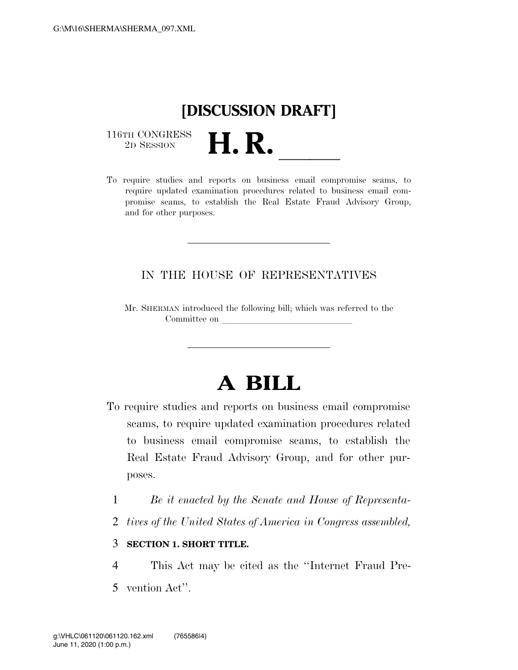## **[DISCUSSION DRAFT]**

 $\begin{array}{c} \textbf{116TH CONGRESS} \\ \textbf{2D SESION} \end{array}$ 

116TH CONGRESS<br>
2D SESSION<br>
To require studies and reports on business email compromise scams, to require updated examination procedures related to business email compromise scams, to establish the Real Estate Fraud Advisory Group, and for other purposes.

#### IN THE HOUSE OF REPRESENTATIVES

Mr. SHERMAN introduced the following bill; which was referred to the Committee on

# **A BILL**

- To require studies and reports on business email compromise scams, to require updated examination procedures related to business email compromise scams, to establish the Real Estate Fraud Advisory Group, and for other purposes.
	- 1 *Be it enacted by the Senate and House of Representa-*
- 2 *tives of the United States of America in Congress assembled,*

#### 3 **SECTION 1. SHORT TITLE.**

- 4 This Act may be cited as the ''Internet Fraud Pre-
- 5 vention Act''.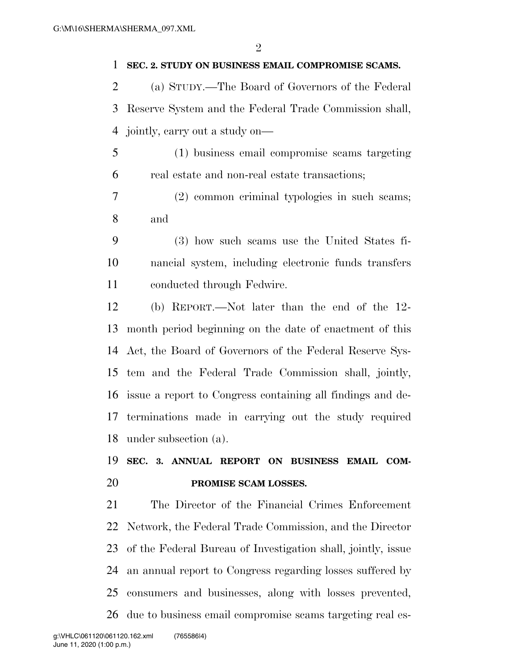#### **SEC. 2. STUDY ON BUSINESS EMAIL COMPROMISE SCAMS.**

 (a) STUDY.—The Board of Governors of the Federal Reserve System and the Federal Trade Commission shall, jointly, carry out a study on—

- (1) business email compromise scams targeting real estate and non-real estate transactions;
- (2) common criminal typologies in such scams; and
- (3) how such scams use the United States fi- nancial system, including electronic funds transfers conducted through Fedwire.

 (b) REPORT.—Not later than the end of the 12- month period beginning on the date of enactment of this Act, the Board of Governors of the Federal Reserve Sys- tem and the Federal Trade Commission shall, jointly, issue a report to Congress containing all findings and de- terminations made in carrying out the study required under subsection (a).

### **SEC. 3. ANNUAL REPORT ON BUSINESS EMAIL COM-PROMISE SCAM LOSSES.**

 The Director of the Financial Crimes Enforcement Network, the Federal Trade Commission, and the Director of the Federal Bureau of Investigation shall, jointly, issue an annual report to Congress regarding losses suffered by consumers and businesses, along with losses prevented, due to business email compromise scams targeting real es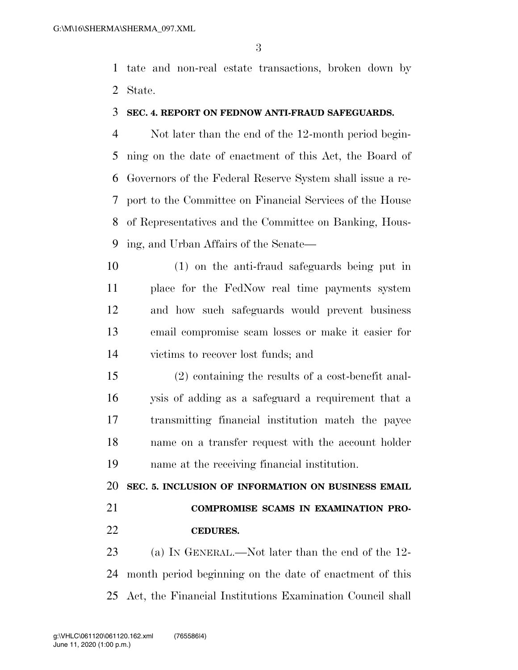tate and non-real estate transactions, broken down by State.

#### **SEC. 4. REPORT ON FEDNOW ANTI-FRAUD SAFEGUARDS.**

 Not later than the end of the 12-month period begin- ning on the date of enactment of this Act, the Board of Governors of the Federal Reserve System shall issue a re- port to the Committee on Financial Services of the House of Representatives and the Committee on Banking, Hous-ing, and Urban Affairs of the Senate—

 (1) on the anti-fraud safeguards being put in place for the FedNow real time payments system and how such safeguards would prevent business email compromise scam losses or make it easier for victims to recover lost funds; and

 (2) containing the results of a cost-benefit anal- ysis of adding as a safeguard a requirement that a transmitting financial institution match the payee name on a transfer request with the account holder name at the receiving financial institution.

**SEC. 5. INCLUSION OF INFORMATION ON BUSINESS EMAIL** 

# **COMPROMISE SCAMS IN EXAMINATION PRO-**

**CEDURES.** 

 (a) IN GENERAL.—Not later than the end of the 12- month period beginning on the date of enactment of this Act, the Financial Institutions Examination Council shall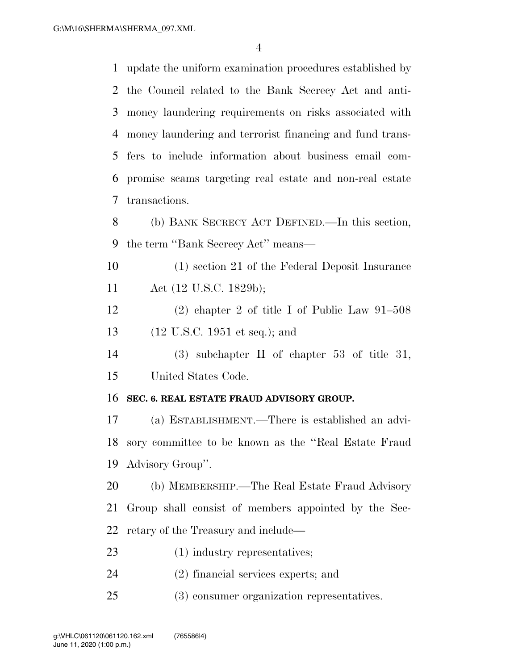update the uniform examination procedures established by the Council related to the Bank Secrecy Act and anti- money laundering requirements on risks associated with money laundering and terrorist financing and fund trans- fers to include information about business email com- promise scams targeting real estate and non-real estate transactions.

 (b) BANK SECRECY ACT DEFINED.—In this section, the term ''Bank Secrecy Act'' means—

 (1) section 21 of the Federal Deposit Insurance Act (12 U.S.C. 1829b);

 (2) chapter 2 of title I of Public Law 91–508 (12 U.S.C. 1951 et seq.); and

 (3) subchapter II of chapter 53 of title 31, United States Code.

#### **SEC. 6. REAL ESTATE FRAUD ADVISORY GROUP.**

 (a) ESTABLISHMENT.—There is established an advi- sory committee to be known as the ''Real Estate Fraud Advisory Group''.

 (b) MEMBERSHIP.—The Real Estate Fraud Advisory Group shall consist of members appointed by the Sec-retary of the Treasury and include—

- (1) industry representatives;
- (2) financial services experts; and
- (3) consumer organization representatives.